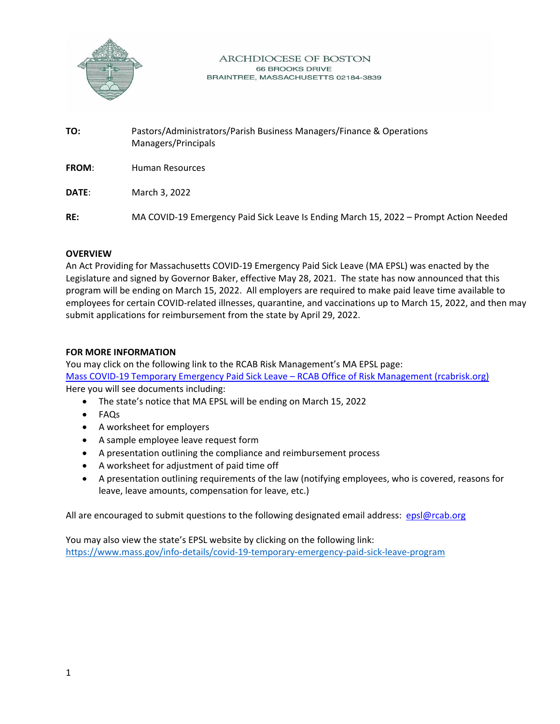

## **ARCHDIOCESE OF BOSTON** 66 BROOKS DRIVE BRAINTREE, MASSACHUSETTS 02184-3839

**TO:** Pastors/Administrators/Parish Business Managers/Finance & Operations Managers/Principals **FROM**: Human Resources **DATE**: March 3, 2022 **RE:** MA COVID-19 Emergency Paid Sick Leave Is Ending March 15, 2022 – Prompt Action Needed

## **OVERVIEW**

An Act Providing for Massachusetts COVID-19 Emergency Paid Sick Leave (MA EPSL) was enacted by the Legislature and signed by Governor Baker, effective May 28, 2021. The state has now announced that this program will be ending on March 15, 2022. All employers are required to make paid leave time available to employees for certain COVID-related illnesses, quarantine, and vaccinations up to March 15, 2022, and then may submit applications for reimbursement from the state by April 29, 2022.

## **FOR MORE INFORMATION**

You may click on the following link to the RCAB Risk Management's MA EPSL page: [Mass COVID-19 Temporary Emergency Paid Sick Leave –](https://rcabrisk.org/epsl/) RCAB Office of Risk Management (rcabrisk.org) Here you will see documents including:

- The state's notice that MA EPSL will be ending on March 15, 2022
- FAQs
- A worksheet for employers
- A sample employee leave request form
- A presentation outlining the compliance and reimbursement process
- A worksheet for adjustment of paid time off
- A presentation outlining requirements of the law (notifying employees, who is covered, reasons for leave, leave amounts, compensation for leave, etc.)

All are encouraged to submit questions to the following designated email address: [epsl@rcab.org](mailto:epsl@rcab.org)

You may also view the state's EPSL website by clicking on the following link: <https://www.mass.gov/info-details/covid-19-temporary-emergency-paid-sick-leave-program>